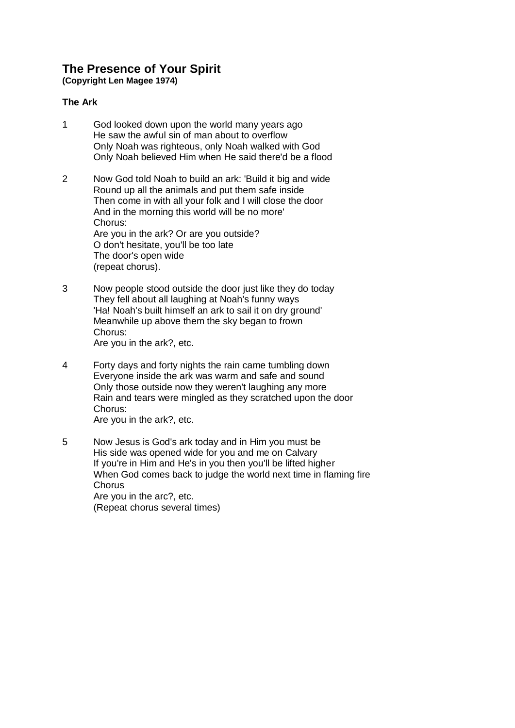# **The Presence of Your Spirit (Copyright Len Magee 1974)**

# **The Ark**

- 1 God looked down upon the world many years ago He saw the awful sin of man about to overflow Only Noah was righteous, only Noah walked with God Only Noah believed Him when He said there'd be a flood
- 2 Now God told Noah to build an ark: 'Build it big and wide Round up all the animals and put them safe inside Then come in with all your folk and I will close the door And in the morning this world will be no more' Chorus: Are you in the ark? Or are you outside? O don't hesitate, you'll be too late The door's open wide (repeat chorus).
- 3 Now people stood outside the door just like they do today They fell about all laughing at Noah's funny ways 'Ha! Noah's built himself an ark to sail it on dry ground' Meanwhile up above them the sky began to frown Chorus: Are you in the ark?, etc.
- 4 Forty days and forty nights the rain came tumbling down Everyone inside the ark was warm and safe and sound Only those outside now they weren't laughing any more Rain and tears were mingled as they scratched upon the door Chorus: Are you in the ark?, etc.

5 Now Jesus is God's ark today and in Him you must be His side was opened wide for you and me on Calvary

If you're in Him and He's in you then you'll be lifted higher When God comes back to judge the world next time in flaming fire **Chorus** Are you in the arc?, etc.

(Repeat chorus several times)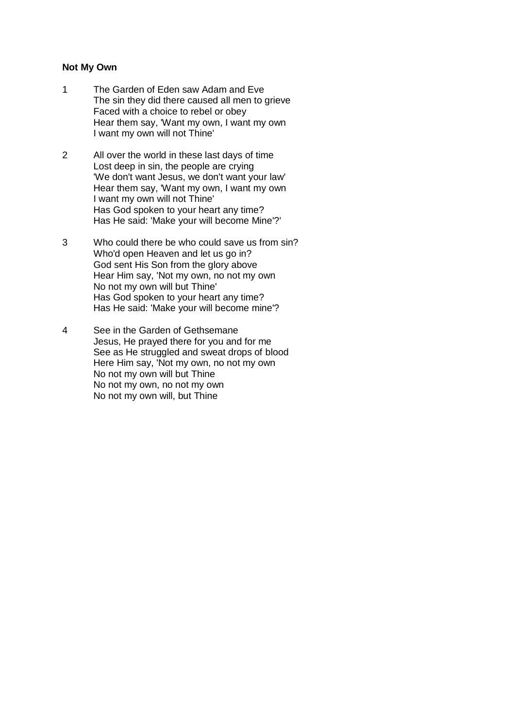## **Not My Own**

- 1 The Garden of Eden saw Adam and Eve The sin they did there caused all men to grieve Faced with a choice to rebel or obey Hear them say, 'Want my own, I want my own I want my own will not Thine'
- 2 All over the world in these last days of time Lost deep in sin, the people are crying 'We don't want Jesus, we don't want your law' Hear them say, 'Want my own, I want my own I want my own will not Thine' Has God spoken to your heart any time? Has He said: 'Make your will become Mine'?'
- 3 Who could there be who could save us from sin? Who'd open Heaven and let us go in? God sent His Son from the glory above Hear Him say, 'Not my own, no not my own No not my own will but Thine' Has God spoken to your heart any time? Has He said: 'Make your will become mine'?
- 4 See in the Garden of Gethsemane Jesus, He prayed there for you and for me See as He struggled and sweat drops of blood Here Him say, 'Not my own, no not my own No not my own will but Thine No not my own, no not my own No not my own will, but Thine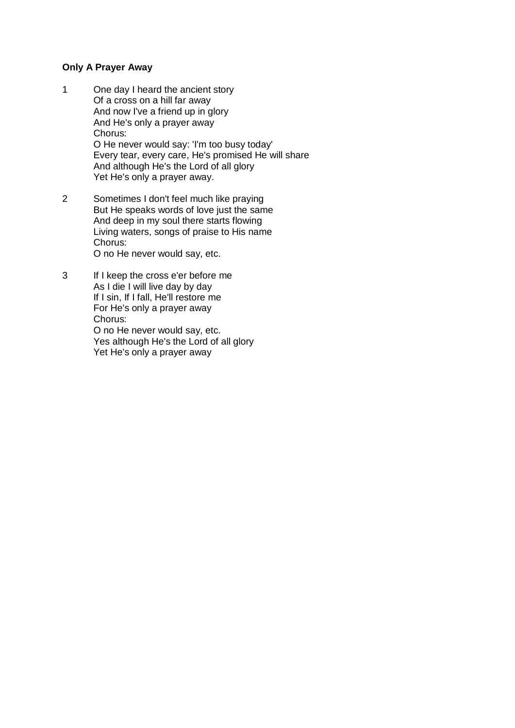## **Only A Prayer Away**

- 1 One day I heard the ancient story Of a cross on a hill far away And now I've a friend up in glory And He's only a prayer away Chorus: O He never would say: 'I'm too busy today' Every tear, every care, He's promised He will share And although He's the Lord of all glory Yet He's only a prayer away.
- 2 Sometimes I don't feel much like praying But He speaks words of love just the same And deep in my soul there starts flowing Living waters, songs of praise to His name Chorus: O no He never would say, etc.
- 3 If I keep the cross e'er before me As I die I will live day by day If I sin, If I fall, He'll restore me For He's only a prayer away Chorus: O no He never would say, etc. Yes although He's the Lord of all glory Yet He's only a prayer away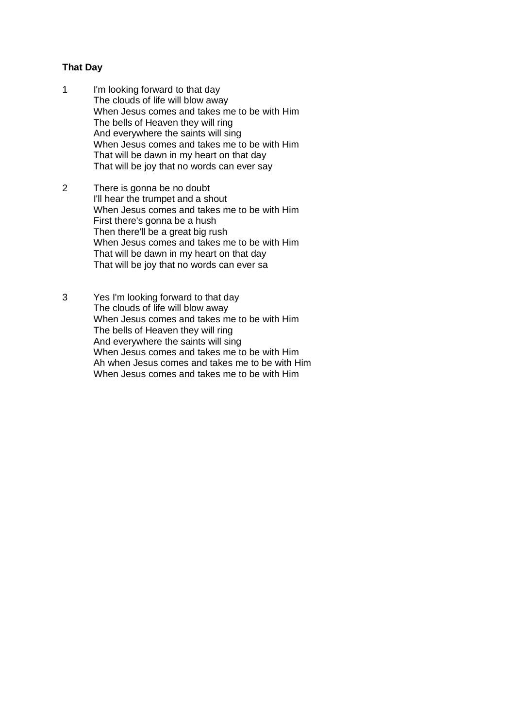# **That Day**

- 1 I'm looking forward to that day The clouds of life will blow away When Jesus comes and takes me to be with Him The bells of Heaven they will ring And everywhere the saints will sing When Jesus comes and takes me to be with Him That will be dawn in my heart on that day That will be joy that no words can ever say
- 2 There is gonna be no doubt I'll hear the trumpet and a shout When Jesus comes and takes me to be with Him First there's gonna be a hush Then there'll be a great big rush When Jesus comes and takes me to be with Him That will be dawn in my heart on that day That will be joy that no words can ever sa
- 3 Yes I'm looking forward to that day The clouds of life will blow away When Jesus comes and takes me to be with Him The bells of Heaven they will ring And everywhere the saints will sing When Jesus comes and takes me to be with Him Ah when Jesus comes and takes me to be with Him When Jesus comes and takes me to be with Him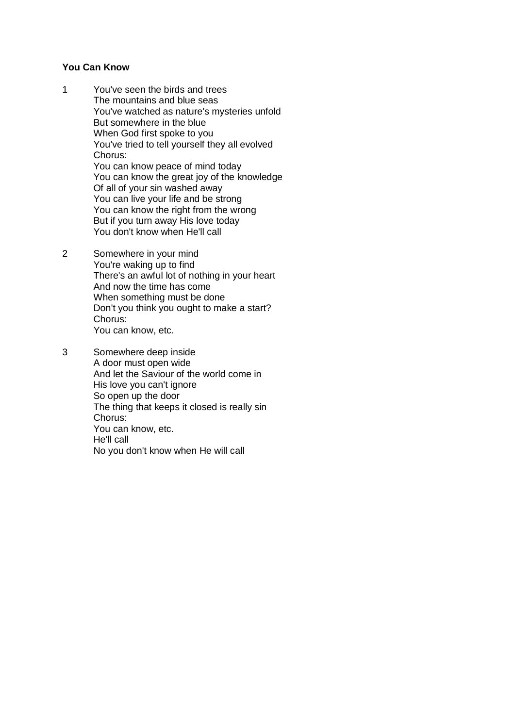## **You Can Know**

- 1 You've seen the birds and trees The mountains and blue seas You've watched as nature's mysteries unfold But somewhere in the blue When God first spoke to you You've tried to tell yourself they all evolved Chorus: You can know peace of mind today You can know the great joy of the knowledge Of all of your sin washed away You can live your life and be strong You can know the right from the wrong But if you turn away His love today You don't know when He'll call
- 2 Somewhere in your mind You're waking up to find There's an awful lot of nothing in your heart And now the time has come When something must be done Don't you think you ought to make a start? Chorus: You can know, etc.
- 3 Somewhere deep inside A door must open wide And let the Saviour of the world come in His love you can't ignore So open up the door The thing that keeps it closed is really sin Chorus: You can know, etc. He'll call No you don't know when He will call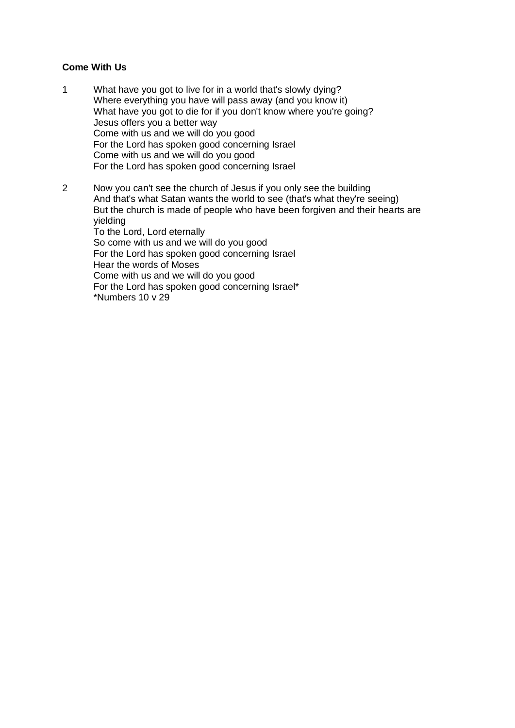# **Come With Us**

- 1 What have you got to live for in a world that's slowly dying? Where everything you have will pass away (and you know it) What have you got to die for if you don't know where you're going? Jesus offers you a better way Come with us and we will do you good For the Lord has spoken good concerning Israel Come with us and we will do you good For the Lord has spoken good concerning Israel
- 2 Now you can't see the church of Jesus if you only see the building And that's what Satan wants the world to see (that's what they're seeing) But the church is made of people who have been forgiven and their hearts are yielding To the Lord, Lord eternally So come with us and we will do you good For the Lord has spoken good concerning Israel Hear the words of Moses Come with us and we will do you good For the Lord has spoken good concerning Israel\* \*Numbers 10 v 29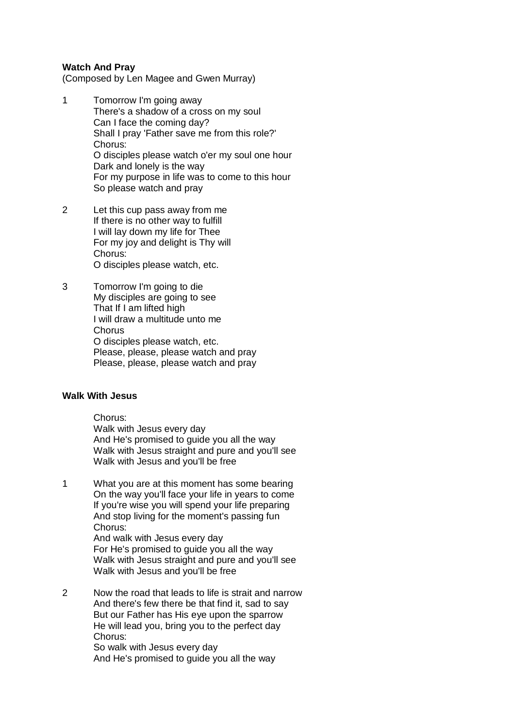#### **Watch And Pray**

(Composed by Len Magee and Gwen Murray)

- 1 Tomorrow I'm going away There's a shadow of a cross on my soul Can I face the coming day? Shall I pray 'Father save me from this role?' Chorus: O disciples please watch o'er my soul one hour Dark and lonely is the way For my purpose in life was to come to this hour So please watch and pray
- 2 Let this cup pass away from me If there is no other way to fulfill I will lay down my life for Thee For my joy and delight is Thy will Chorus: O disciples please watch, etc.
- 3 Tomorrow I'm going to die My disciples are going to see That If I am lifted high I will draw a multitude unto me **Chorus** O disciples please watch, etc. Please, please, please watch and pray Please, please, please watch and pray

### **Walk With Jesus**

Chorus: Walk with Jesus every day And He's promised to guide you all the way Walk with Jesus straight and pure and you'll see Walk with Jesus and you'll be free

1 What you are at this moment has some bearing On the way you'll face your life in years to come If you're wise you will spend your life preparing And stop living for the moment's passing fun Chorus:

> And walk with Jesus every day For He's promised to guide you all the way Walk with Jesus straight and pure and you'll see Walk with Jesus and you'll be free

2 Now the road that leads to life is strait and narrow And there's few there be that find it, sad to say But our Father has His eye upon the sparrow He will lead you, bring you to the perfect day Chorus: So walk with Jesus every day And He's promised to guide you all the way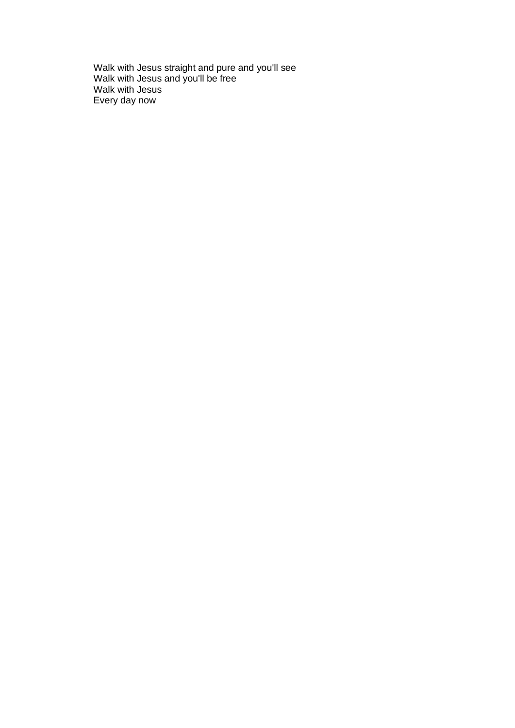Walk with Jesus straight and pure and you'll see Walk with Jesus and you'll be free Walk with Jesus Every day now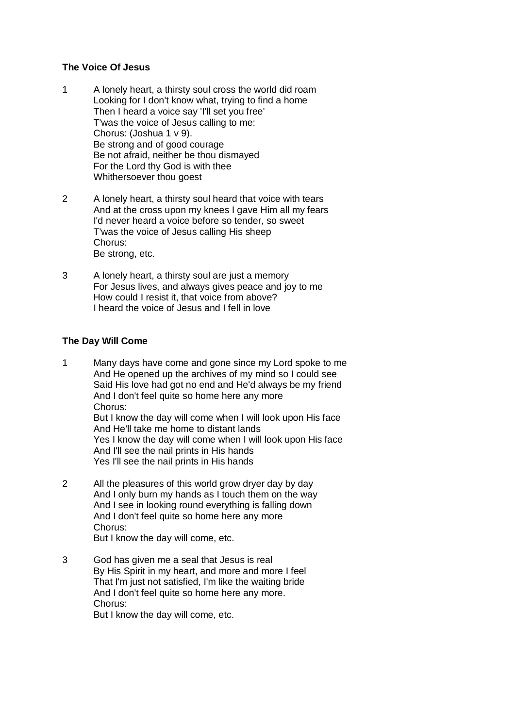# **The Voice Of Jesus**

- 1 A lonely heart, a thirsty soul cross the world did roam Looking for I don't know what, trying to find a home Then I heard a voice say 'I'll set you free' T'was the voice of Jesus calling to me: Chorus: (Joshua 1 v 9). Be strong and of good courage Be not afraid, neither be thou dismayed For the Lord thy God is with thee Whithersoever thou goest
- 2 A lonely heart, a thirsty soul heard that voice with tears And at the cross upon my knees I gave Him all my fears I'd never heard a voice before so tender, so sweet T'was the voice of Jesus calling His sheep Chorus: Be strong, etc.
- 3 A lonely heart, a thirsty soul are just a memory For Jesus lives, and always gives peace and joy to me How could I resist it, that voice from above? I heard the voice of Jesus and I fell in love

## **The Day Will Come**

- 1 Many days have come and gone since my Lord spoke to me And He opened up the archives of my mind so I could see Said His love had got no end and He'd always be my friend And I don't feel quite so home here any more Chorus: But I know the day will come when I will look upon His face And He'll take me home to distant lands Yes I know the day will come when I will look upon His face And I'll see the nail prints in His hands Yes I'll see the nail prints in His hands
- 2 All the pleasures of this world grow dryer day by day And I only burn my hands as I touch them on the way And I see in looking round everything is falling down And I don't feel quite so home here any more Chorus: But I know the day will come, etc.
- 3 God has given me a seal that Jesus is real By His Spirit in my heart, and more and more I feel That I'm just not satisfied, I'm like the waiting bride And I don't feel quite so home here any more. Chorus: But I know the day will come, etc.